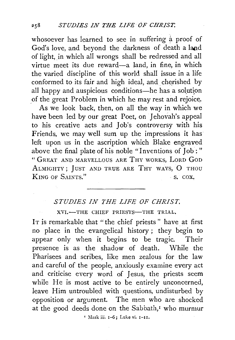whosoever has learned to see in suffering a proof of God's love, and beyond the darkness of death a **land**  of light, in which all wrongs shall be redressed and all virtue meet its due reward-a land, in fine, in which the varied discipline of this world shall issue in a life conformed to its fair and high ideal, and cherished by all happy and auspicious conditions-he has a solution of the great Problem in which he may rest and rejoice.

As we look back, then, on all the way in which we have been led by our great Poet, on Jehovah's appeal to his creative acts and Job's controversy with his Friends, we may well sum up the impressions it has left upon us in the ascription which Blake engraved above the final plate of his noble "Inventions of Job: " " GREAT AND MARVELLous ARE THY woRKS, LoRD GoD ALMIGHTY; JUST AND TRUE ARE THY WAYS, O THOU KING OF SAINTS." S. COX.

## *STUDIES IN THE LIFE OF CHRIST.*

XVI.-THE CHIEF PRIESTS-THE TRIAL.

IT is remarkable that "the chief priests" have at first no place in the evangelical history ; they begin to appear only when it begins to be tragic. Their presence is as the shadow of death. While the Pharisees and scribes, like men zealous for the law and careful of the people, anxiously examine every act and criticise every word of Jesus, the priests seem while He is most active to be entirely unconcerned, leave Him untroubled with questions, undisturbed by opposition or argument. The men who are shocked at the good deeds done on the Sabbath,<sup>I</sup> who murmur ' Mark iii. 1-6; Luke vi. 1-11.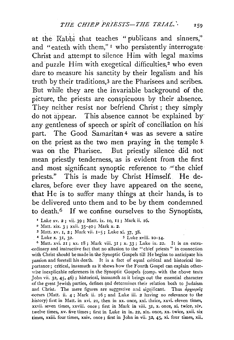at the Rabbi that teaches "publicans and sinners," and "eateth with them,"<sup>I</sup> who persistently interrogate Christ and attempt to silence Him with legal maxims and puzzle Him with exegetical difficulties,<sup>2</sup> who even dare to measure his sanctity by their legalism and his truth by their traditions,<sup>3</sup> are the Pharisees and scribes. But while they are the invariable background of the. picture, the priests are conspicuous by their absence. They neither resist nor befriend Christ ; they simply do not appear. This absence cannot be explained by any gentleness of speech or spirit of conciliation on his part. The Good Samaritan 4 was as severe a satire on the priest as the two men praying in the temple 5. was on the Pharisee. But priestly silence did not mean priestly tenderness, as is evident from the first and most significant synoptic reference to "the chief priests." This is made by Christ Himself. He declares, before ever they have appeared on the scene, that He is to suffer many things at their hands, is to be delivered unto them and to be by them condemned to death.6 If we confine ourselves to the Synoptists,

- $2$  Matt. xix. 3; xxii. 35-40; Mark x. 2.
- 3 Matt. xv. I, 2; Mark vii. 1-5; Luke xi. 37, 38.<br>4 Luke x. 31, 32. 5 Luke xviii. 10-14.
	-

 $6$  Matt. xvi. 21; xx. 18; Mark viii. 31; x. 33; Luke ix. 22. It is an extraordinary and instructive fact that no allusion to the "chief priests" in connection with Christ should be made 'in the Synoptic Gospels till He begins to anticipate his passion and foretell his death. It is a fact of equal critical and historical importance; critical, inasmuch as it shews how the Fourth Gospel can explain otherwise inexplicable references in the Synoptic Gospels (comp. with the above texts John vii. 32, 45, 46) ; historical, inasmuch as it brings out the essential character of the great Jewish parties, defines and determines their relation both to Judaism and Christ. The mere figures are suggestive and significant. Thus  $d\rho\chi\iota\epsilon\rho\epsilon\iota\varsigma$ occurs (Matt. ii. 4; Mark ii. 16; and Luke iii. 2 having no relevance to the history) first in Matt. in xvi. 21, then in xx. once, xxi. thrice, xxvi. eleven times, xxvii. seven times, xxviii. once ; first in Mark in viii. 31, x. once, xi. twice, xiv. twelve times, xv. five times; first in Luke in ix. 22, xix. once, xx. twice, xxii. six times, xxiii. four times, xxiv. once; first in John in vii. 32, 45, xi. four times, xii.

<sup>&#</sup>x27; Luke xv. 2 ; vii. 39 ; Matt. ix. 10, I I ; Mark ii. I6.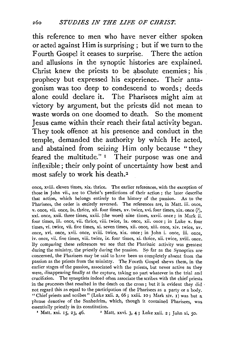this reference to men who have never either spoken or acted against Him is surprising ; but if we turn to the Fourth Gospel it ceases to surprise. There the action and allusions in the synoptic histories are explained. Christ knew the priests to be absolute enemies; his prophecy but expressed his experience. Their antagonism was too deep to condescend to words ; deeds alone could declare it. The Pharisees might aim at victory by argument, but the priests did not mean to waste words on one doomed to death. So the moment Jesus came within their reach their fatal activity began. They took offence at his presence and conduct in the temple, demanded the authority by which He acted, and abstained from seizing Him only because " they feared the multitude." I Their purpose was one and inflexible ; their only point of uncertainty how best and most safely to work his death. <sup>2</sup>

once, xviii. eleven times, xix. thrice. The earlier references, with the exception of those in John vii., are to Christ's predictions of their action; the later describe that action, which belongs entirely to the history of the passion. As to the Pharisees, the order is entirely reversed. The references are, in Matt. iii. once, v. once, vii. once, ix. thrice, xii. four times, xv. twice, xvi. four times, xix. once (?), xxi. once, xxii. three times, xxiii. (the woes) nine times, xxvii. once; in Mark ii. four times, iii. once, vii. thrice, viii. twice, ix. once, xii. once ; in Luke v. four times, vi. twice, vii. five times, xi. seven times, xii. once, xiii. once, xiv. twice, xv. once, xvi. once, xvii. once, xviii. twice, xix. once; in John i. once, iii. once, iv. once, vii. five times, viii. twice, ix. four times, xi. thrice, xii. twice, xviii. once. By comparing these references we see that the Pharisaic activity was greatest during the ministry, the priestly during the passion. So far as the Synoptics are concerned, the Pharisees may be said to have been as completely absent from the passion as the priests from the ministry. The Fourth Gospel shews them, in the earlier stages of the passion, associated with the priests, but never active as they were, disappearing finally at the capture, taking no part whatever in the trial and crucifixion. The synoptists indeed often associate the scribes with the chief priests in the processes that resulted in the death on the cross; but it is evident they did. not regard this as equal to the participation of the Pharisees as a party or a body. "Chief priests and scribes" (Luke xxii. 2, 66; xxiii. IO; Mark xiv. I) was but a phrase denotive of the Sanheclrim, which, though it contained Pharisees, was essentially priestly in its constitution.<br> $\frac{1}{2}$  Matt. xxi. 15, 23, 46.  $\frac{2}{2}$  M

<sup>2</sup> Matt. xxvi. 3, 4; Luke xxii. 2; John xi. 50.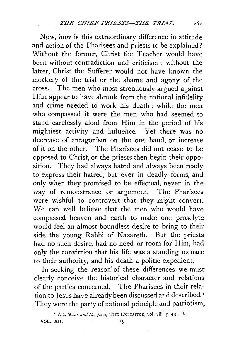Now, how is this extraordinary difference in attitude and action of the Pharisees and priests to be explained? Without the former, Christ the Teacher would have been without contradiction and criticism ; without the latter, Christ the Sufferer would not have known the mockery of the trial or the shame and agony of the cross. The men who most strenuously argued against Him appear to have shrunk from the national infidelity and crime needed to work his death; while the men who compassed it were the men who had seemed to stand carelessly aloof from Him in the period of his mightiest activity and influence. Yet there was no decrease of antagonism on the one hand, or increase of it on the other. The Pharisees did not cease to be opposed to Christ, or the priests then begin their opposition. They had always hated and always been ready to express their hatred, but ever in deadly forms, and only when they promised to be effectual, never in the way of remonstrance or argument. The Pharisees were wishful to controvert that they might convert. We can well believe that the men who would have compassed heaven and earth to make one proselyte would feel an almost boundless desire to bring to their side the young Rabbi of Nazareth. But the priests had no such desire, had no need or room for Him, had only the conviction that his life was a standing menace to their authority, and his death a politic expedient.

In seeking the reason of these differences we must clearly conceive the historical character and relations of the parties concerned. The Pharisees in their relation to Jesus have already been discussed and described. <sup>I</sup> They were the party of national principle and patriotism.

<sup>1</sup> Art. *Jesus and the Jews*, THE EXPOSITOR, vol. viii. p. 431, ff. VOL. XII. and in the set of the set of the set of the set of the set of the set of the set of the set of the set of the set of the set of the set of the set of the set of the set of the set of the set of the set of the set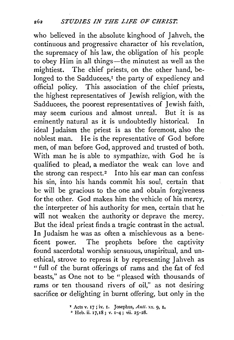who believed in the absolute kinghood of Jahveh, the continuous and progressive character of his revelation, the supremacy of his law, the obligation of his people to obey Him in all things—the minutest as well as the mightiest. The chief priests, on the other hand, belonged to the Sadducees,<sup> $I$ </sup> the party of expediency and official policy. This association of the chief priests, the highest representatives of Jewish religion, with the Sadducees, the poorest representatives of Jewish faith, may seem curious and almost unreal. But it is as eminently natural as it is undoubtedly historical. In ideal Judaism the priest is as the foremost, also the noblest man. He is the representative of God before men, of man before God, approved and trusted of both. With man he is able to sympathize, with God he is qualified to plead, a mediator the weak can love and the strong can respect.<sup>2</sup> Into his ear man can confess his sin, into his hands commit his soul, certain that be will be gracious to the one and obtain forgiveness for the other. God makes him the vehicle of his mercy, the interpreter of his authority for men, certain that he will not weaken the authority or deprave the mercy. But the ideal priest finds a tragic contrast in the actual. In Judaism he was as often a mischievous as a beneficent power. The prophets before the captivity found sacerdotal worship sensuous, unspiritual, and unethical, strove to repress it by representing Jahveh as " full of the burnt offerings of rams and the fat of fed beasts," as One not to be "pleased with thousands of rams or ten thousand rivers of oil," as not desiring sacrifice or delighting in burnt offering, but only in the

 $\mathbf{r}$  Acts v. 17; iv. I. Josephus, Antt. xx. 9, I.

 $2$  Heb. ii. 17,18; v. 1-4; vii. 25-28.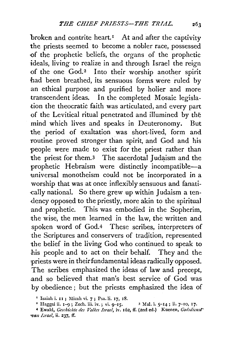broken and contrite heart.<sup>I</sup> At and after the captivity the priests seemed to become a nobler race, possessed -of the prophetic beliefs, the organs of the prophetic ideals, living to realize in and through Israel the reign of the one God.<sup>2</sup> Into their worship another spirit had been breathed, its sensuous forms were ruled by an ethical purpose and purified by holier and more transcendent ideas. In the completed Mosaic legislation the theocratic faith was articulated, and every part of the Levitical ritual penetrated and illumined by the mind which lives and speaks in Deuteronomy. But the period of exaltation was short-lived, form and routine proved stronger than spirit, and God and his people were made to exist for the priest rather than the priest for them. $3$  The sacerdotal Judaism and the prophetic Hebraism were distinctly incompatible-a universal monotheism could not be incorporated in a worship that was at once inflexibly sehsuous and fanati cally national. So there grew up within Judaism a ten--dency opposed to the priestly, more akin to the spiritual and prophetic. This was embodied in the Sopherim, the wise, the men learned in the law, the written and spoken word of God.4 These scribes, interpreters of the Scriptures and conservers of tradition, represented the belief in the living God who continued to speak to his people and to act on their behalf. They and the priests were in theirfundamental ideas radically opposed. The scribes emphasized the ideas of law and precept, .and so believed that man's best service of God was by obedience ; but the priests emphasized the idea of

<sup>&</sup>lt;sup>1</sup> Isaiah i. 11 ; Micah vi. 7 ; Psa.li. 17, 18. <sup>3</sup> Mal. i. 5–14 ; ii. 7–10, 17. <sup>2</sup> Haggai ii. 1–9; Zech. iii. iv.; vi. 9–15.

<sup>4</sup> Ewald, *Geschichte des Vulkes Israel,* iv. 162, ff. (2nd ed.) Kuenen, *Gudsdimsr*  van Israel, ii. 237, ff.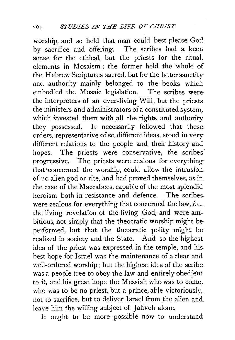worship, and so held that man could best please God by sacrifice and offering. The scribes had a keen sense for the ethical, but the priests for the ritual, elements in Mosaism; the former held the whole of the Hebrew Scriptures sacred, but for the latter sanctity and authority mainly belonged to the books which embodied the Mosaic legislation. The scribes were the interpreters of an ever-living Will, but the priests the ministers and administrators of a constituted system, which invested them with all the rights and authority they possessed. It necessarily followed that these orders, representative of so. different ideas, stood in very different relations to the people and their history and hopes. The priests were conservative, the scribes progressive. The priests were zealous for everything that· concerned the worship, could allow the intrusion of no alien god or rite, and had proved themselves, as in the case of the Maccabees, capable of the most splendid heroism both in resistance and defence. The scribes were zealous for everything that concerned the law, *i.e.*, the living revelation of the living God, and were ambitious, not simply that the theocratic worship might be performed, but that the theocratic polity might be realized in society and the State. And so the highest idea of the priest was expressed in the temple, and his. best hope for Israel was the maintenance of a clear and 'vell-ordered worship; but the highest idea of the scribe was a people free to obey the law and entirely obedient to it, and his great hope the Messiah who was to come, who was to be no priest, but a prince, able victoriously,. not to sacrifice, but to deliver Israel from the alien and leave him the willing subject of Jahveh alone.

It ought to be more possible now to understand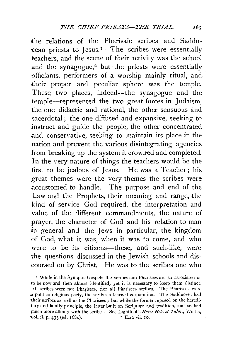the relations of the Pharisaic scribes and Saddu  $c$ ean priests to Jesus.<sup>1</sup> The scribes were essentially teachers, and the scene of their activity was the school and the synagogue, $2$  but the priests were essentially officiants, performers of a worship mainly ritual, and their proper and peculiar sphere was the temple. These two places, indeed—the synagogue and the temple-represented the two great forces in Judaism, the one didactic and rational, the other sensuous and sacerdotal; the one diffused and expansive, seeking to instruct and guide the people, the other concentrated and conservative, seeking to maintain its place in the nation and prevent the various disintegrating agencies from breaking up the system it crowned and completed. In the very nature of things the teachers would be the first to be jealous of Jesus. He was a Teacher; his great themes were the very themes the scribes were accustomed to handle. The purpose and end of the Law and the Prophets, their meaning and range, the kind of service God required, the interpretation and value of the different commandments, the nature of prayer, the character of God and his relation to man in general and the Jews in particular, the kingdom of God, what it was, when it was to come, and who were to be its citizens-these, and such-like, were the questions discussed in the Jewish schools and dis coursed on by Christ. He was to the scribes one who

<sup>•</sup> While in the Synoptic Gospels the scribes and Pharisees are so associated as to be now and then almost identified, yet it is necessary to keep them distinct. All scribes were not Pharisees, nor all Pharisees scribes. The Pharisees were a politico-religious party, the scribes a learned corporation. The Sadducees had their scribes as well as the Pharisees ; but while the former reposed on the hereditary and family principle, the latter built on Scripture and tradition, and so had much more affinity with the scribes. See Lightfoot's *Hora: Heb. et Talm.*, Works, vol. ii. p. 433 (ed. 1684). <sup>2</sup> Ezra vii. 10.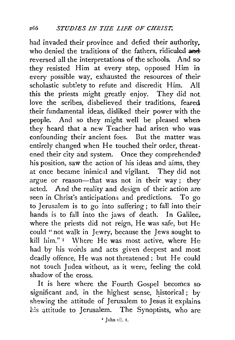had invaded their province and defied their authority. who denied the traditions of the fathers, ridiculed and reversed all the interpretations of the schools. And sothey resisted Him at every step, opposed Him in every possible way, exhausted the resources of their scholastic subtlety to refute and discredit Him. All this the priests might greatly enjoy. They did not love the scribes, disbelieved their traditions, feared their fundamental ideas, disliked their power with the· people. And so they might well be pleased when they heard that a new Teacher had arisen who was confounding their ancient foes. But the matter was. entirely changed when He touched their order, threatened their city and system. Once they comprehended his position, saw the action of his ideas and aims, they at once became inimical and vigilant. They did not argue or reason—that was not in their way; they acted. And the reality and design of their action are seen in Christ's anticipations and predictions. To go to Jerusalem is to go into suffering ; to fall into their hands is to fall into the jaws of death. In Galilee. where the priests did not reign, He was safe, but He could "not walk in Jewry, because the Jews sought to kill him."<sup>1</sup> Where He was most active, where He had by his words and acts given deepest and most deadly offence, He was not threatened ; but He could not touch Judea without, as it were, feeling the cold shadow of the cross.

It is here where the Fourth Gospel becomes so significant and, in the highest sense, historical; by shewing the attitude of Jerusalem to Jesus it explains his attitude to Jerusalem. The Synoptists, who are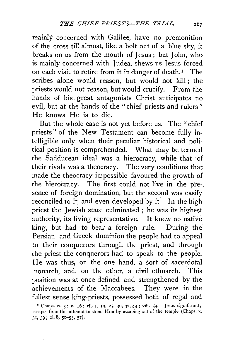mainly concerned with Galilee, have no premonition of the cross till almost, like a bolt out of a blue sky, it breaks on us from the mouth of Jesus; but John, who is mainly concerned with Judea, shews us Jesus forced on each visit to retire from it in danger of death.<sup>1</sup> The scribes alone would reason, but would not kill ; the priests would not reason, but would crucify. From the hands of his great antagonists Christ anticipates no evil, but at the hands of the "chief priests and rulers " He knows He is to die.

But the whole case is not yet before us. The "chief priests" of the New Testament can become fully intelligible only when their peculiar historical and political position is comprehended. What may be termed the Sadducean ideal was a hierocracy, while that of their rivals was a theocracy. The very conditions that made the theocracy impossible favoured the growth of the hierocracy. The first could not live in the pre-. sence of foreign domination, but the second was easily reconciled to it, and even developed by it. In the high priest the Jewish state culminated ; he was its highest authority, its living representative. It knew no native king, but had to bear a foreign rule. During the Persian and Greek dominion the people had to appeal to their conquerors through the priest, and through the priest the conquerors had to speak to the people. He was thus, on the one hand, a sort of sacerdotal monarch, and, on the other, a civil ethnarch. This position was at once defined and strengthened by the achievements of the Maccabees. They were in the fullest sense king-priests, possessed both of regal and

<sup>&</sup>lt;sup>1</sup> Chaps. iv. 3; v. 16; vii. 1, 19, 25, 30, 32, 44; viii. 59. Jesus significantly escapes from this attempt to stone Him by escaping out of the temple (Chaps. x. 31,:39; xi. 8, 50-53. 57)·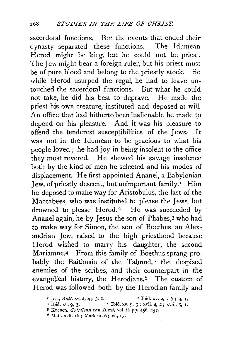sacerdotal functions. But the events that ended their dynasty separated these functions. The Idumean Herod might be king, but he could not be priest. The Jew might bear a foreign ruler, but his priest must be of pure blood and belong to the priestly stock. So while Herod usurped the regal, he had to leave untouched the sacerdotal functions. But what he could not take, he did his best to deprave. He made the priest his own creature, instituted and ·deposed at will. An office that had hitherto been inalienable he made to depend on his pleasure. And it was his pleasure to offend the tenderest susceptibilities of the Jews. It was not in the Idumean to be gracious to what his people loved ; he had joy in being insolent to the office they most revered. He shewed his savage insolence both by the kind of men he selected and his modes of displacement. He first appointed Ananel, a Babylonian Jew, of priestly descent, but unimportant family. 1 Him he deposed to make way for Aristobulus, the last of the Maccabees, who was instituted to please the Jews, but drowned to please Herod.<sup>2</sup> He was succeeded by Ananel again, he by Jesus the son of Phabes,3 who had to make way for Simon, the son of Boethus, an Alexandrian Jew, raised to the high priesthood because Herod wished to marry his daughter, the second Mariamne.4 From this family of Boethus sprang probably the Baithusin of the Talmud,<sup>5</sup> the despised enemies of the scribes, and their counterpart in the evangelical history, the Herodians.6 The custom of Herod was followed both by the Herodian family and

**r** Jos., *Antt.* **xv. 2, 4;** 3, I. <sup>2</sup> Ibid. **xv. 2**, 5-7; 3, I. 3 Ibid. **xv. 9**, 3. **•** Ibid. **xv. 9**, 3; **xvii.** 4, 2; **xviii.** 5, I.

<sup>3</sup> Ibid. xv. 9, 3· 4 Ibid. xv. 9, 3; xvii. 4, 2; xviii. *5,* I.

<sup>5</sup> Kuenen, *Go:lsdicmt vatt Israel,* vel. ii. pp. 456, 457·

*<sup>6</sup>* Matt. xxii. 16; Mark iii. 6; xiio 13.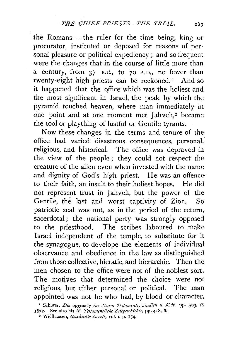the Romans- the ruler for the time being, king or procurator, instituted or deposed for reasons of personal pleasure or political expediency; and so frequent were the changes that in the course of little more than a century, from 37 n.c., to 70 A.D., no fewer than twenty-eight high priests can be reckoned.<sup>I</sup> And so it happened that the office which was the holiest and the most significant in Israel, the peak by which the pyramid touched heaven, where man immediately in one point and at one moment met Jahveh,<sup>2</sup> became the tool or plaything of lustful or Gentile tyrants.

Now these changes in the terms and tenure of the office had varied disastrous consequences, personal, religious, and historical. The office was depraved in the view of the people ; they could not respect the creature of the alien even when invested with the name and dignity of God's high priest. He was an offence· to their faith, an insult to their holiest hopes. He did not represent trust in Jahveh, but the power of the Gentile, the last and worst captivity of Zion. So patriotic zeal was not, as in the period of the return, sacerdotal; the national party was strongly opposed to the priesthood. The scribes laboured to make Israel independent of the temple, to substitute for it the synagogue, to develope the elements of individual observance and obedience in the law as distinguished from those collective, hieratic, and hierarchic. Then the men chosen to the office were not of the noblest sort. The motives that determined the choice were not religious, but either personal or political. The man .appointed was not he who had, by blood or character,

<sup>&</sup>lt;sup>1</sup> Schürer, *Die apxepeig im Neuen Testaments, Studien u. Krit.* pp. 593, ff. 1872. See also his N. Testamentliche Zeitgeschicht., pp. 418, ff.

*z* 'Yellhausen, *Gcschichte Israe!s,* vol. i. p. I 54·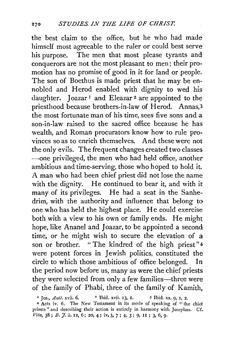the best claim to the office, but he who had made himself most agreeable to the ruler or could best serve his purpose. The men that most please tyrants and conquerors are not the most pleasant to men; their promotion has no promise of good in it for land or people. The son of Boethus is made priest that he may be ennobled and Herod enabled with dignity to wed his daughter. Joazar<sup>1</sup> and Eleazar<sup>2</sup> are appointed to the priesthood because brothers-in-law of Herod. Annas, 3 the most fortunate man of his time, sees five sons and a son-in-law raised to the sacred office because he has wealth, and Roman procurators know how to rule provinces so as to enrich themselves. And these were not the only evils. The frequent changes created two classes -one privileged, the men who had held office, another ambitious and time-serving, those who hoped to hold it. A man who had been chief priest did not lose the name with the dignity. He continued to bear it, and with it many of its privileges. He had a seat in the Sanhedrim, with the authority and influence that belong to one who has held the highest place. He could exercise both with a view to his own or family ends. He might hope, like Ananel and Joazar, to be appointed a second time, or he might wish to secure the elevation of a son or brother. " The kindred of the high priest"<sup>4</sup> were potent forces in Jewish politics, constituted the circle to which those ambitious of office belonged. In the period now before us, many as were the chief priests they were selected from only a few families-three were of the family of Phabi, three of the family of Kamith,

<sup>•</sup> Jos., *Ant!.* xvii. 6. 2 Ibid. xvii. I3, I. *3* Ibid. xx. 9, I, 2.

<sup>4</sup> Acts iv. 6. The New Testament in its mode of speaking of "the chief priests" and describing their action is entirely in harmony with Josephus. Cf. Vita, 38; B. *J*. ii. 12, 6; 20, 4; iv. 3, 7; 4, 3; 9, 11; 3, 6, 9.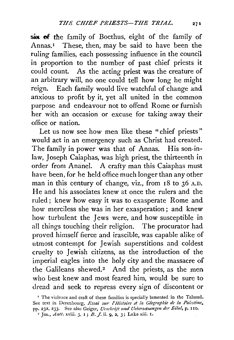six: of the family of Boethus, eight of the family of Annas.<sup>1</sup> These, then, may be said to have been the ruling families, each possessing influence in the council in proportion to the number of past chief priests it could count. As the acting priest was the creature of an arbitrary will, no one could tell how long he might reign. Each family would live watchful of change and anxious to profit by it, yet all united in the common purpose and endeavour not to offend Rome or furnish her with an occasion or excuse for taking away their office or nation.

Let us now see how men like these "chief priests" would act in an emergency such as Christ had created. The family in power was that of Annas. His son-inlaw, Joseph Caiaphas, was high priest, the thirteenth in order from Ananel. A crafty man this Caiaphas must have been, for he held office much longer than any other man in this century of change, viz., from  $18$  to  $36$  A.D. He and his associates knew at once the rulers and the. ruled ; knew how easy it was to exasperate Rome and how merciless she was in her exasperation ; and knew how turbulent the Jews were, and how susceptible in all things touching their religion. The procurator had proved himself fierce and irascible, was capable alike of utmost contempt for Jewish superstitions and coldest cruelty to Jewish citizens, as the introduction of the imperial eagles into the holy city and the massacre of the Galileans shewed.<sup>2</sup> And the priests, as the men who best knew and most feared him, would be sure to dread and seek to repress every sign of discontent or

<sup>&#</sup>x27; The violence and craft of these families is specially lamented in the Talmud. See text in Derenbourg, *Essai sur l' Histoire et la Géographie de la Palestine*, pp. 232, 233. See also Geiger, *Urschrift und Uebersetzungen der Eibel*, p. 110.

<sup>2</sup> Jos., *Antt.* xviii. 3, I; *B.* J. ii. 9, 2, 3; Luke xiii. I.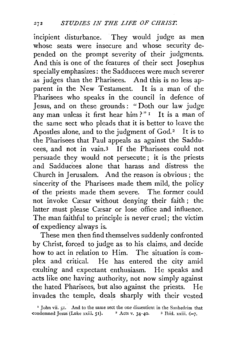incipient disturbance. They would judge as men whose seats were insecure and whose security depended on the prompt severity of their judgments. And this is one of the features of their sect Josephus specially emphasizes: the Sadducees were much severer as judges than the Pharisees. And this is no less apparent in the New Testament. It is a man of the Pharisees who speaks in the council in defence of Jesus, and on these grounds: "Doth our law judge any man unless it first hear him?" $I$  It is a man of the same sect who pleads that it is better to leave the Apostles alone, and to the judgment of  $God.^2$  It is to the Pharisees that Paul appeals as against the Sadducees, and not in vain.3 If the Pharisees could not persuade they would not persecute ; it is the priests and Sadducees alone that harass arid distress the Church in Jerusalem. And the reason is obvious ; the sincerity of the Pharisees made them mild, the policy of the priests made them severe. The. former could not invoke Cæsar without denying their faith; the latter must please Cæsar or lose office and influence. The man faithful to principle is never cruel; the victim of expediency always is.

These men then find themselves suddenly confronted by Christ, forced to judge as to his claims, and decide how to act in relation to Him. The situation is complex and critical. He has entered the city amid exulting and expectant enthusiasm. He speaks and acts like one having authority, not now simply against the hated Pharisees, but also against the priests. He invades the temple, deals sharply with their vested

<sup>&#</sup>x27;John vii. *51.* And to the same sect the one dissentient in the Sanhedrim that condemned Jesus (Luke xxiii. 51).  $\qquad$  2 Acts v. 34-40.  $\qquad$  3 Ibid. xxiii. 6-7.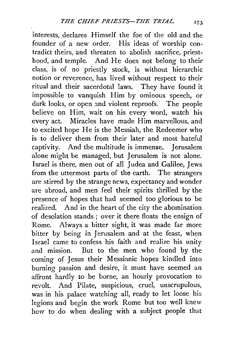interests, declares Himself the foe of the old and the founder of a new order. His ideas of worship contradict theirs, and threaten to abolish sacrifice, priesthood, and temple. And He does not belong to their class, is of no priestly stock, is without hierarchic notion or reverence, has lived without respect to their ritual and their sacerdotal laws. They have found it impossible to vanquish Him by ominous speech, or dark looks, or open and violent reproofs. The people believe on Him, wait on his every word, watch his every act. Miracles have made Him marvellous, and to excited hope He is the Messiah, the Redeemer who is to deliver them from their later and most hateful captivity. And the multitude is immense. Jerusalem alone might be managed, but Jerusalem is not alone. Israel is there, men out of all Judea and Galilee, Jews from the uttermost parts of the earth. The strangers are stirred by the strange news, expectancy and wonder are abroad, and men feel their spirits thrilled by the presence of hopes that had seemed too glorious to be realized. And in the heart of the city the abomination of desolation stands ; over it there floats the ensign of Rome. Always a bitter sight, it was made far more bitter by being in Jerusalem and at the feast, when Israel came to confess his faith and realize his unity and mission. But to the men who found by the coming of Jesus their Messianic hopes kindled into burning passion and desire, it must have seemed an affront hardly to be borne, an hourly provocation to revolt. And Pilate, suspicious, cruel, unscrupulous, was in his palace watching all, ready to let loose his legions and begin the work Rome but too well knew how to do when dealing with a subject people that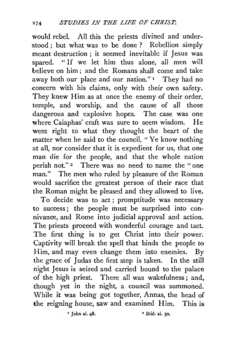would rebel. All this the priests divined and understood ; but what was to be done ? Rebellion simply meant destruction ; it seemed inevitable if Jesus was spared. "If we let him thus alone, all men will believe on him ; and the Romans shall come and take away both our place and our nation." I They had no concern with his claims, only with their own safety. They knew Him as at once the enemy of their order, temple, and worship, and the cause of all those dangerous and explosive hopes. The case was one where Caiaphas' craft was sure to seem wisdom. He went right to what they thought the heart of the matter when he said to the council, " Ye know nothing at all, nor consider that it is expedient for us, that one man die for the people, and that the whole nation perish not." 2 There was no need to name the "one man." The men who ruled by pleasure of the Roman would sacrifice the greatest person of their race that the Roman might be pleased and they allowed to live.

To decide was to act ; promptitude was necessary to success; the people must be surprised into connivance, and Rome into judicial approval and action. The priests proceed with wonderful courage and tact. The first thing is to get Christ into their power. Captivity will break the spell that binds the people to Him, and may even change them into enemies. By the grace of Judas the first step is taken. In the still night Jesus is seized and carried bound to the palace of the high priest. There all was wakefulness; and, though yet in the night, a council was summoned. While it was being got together, Annas, the head of the reigning house, saw and examined Him. This is

• John xi. 48. • Ibid. xi. so.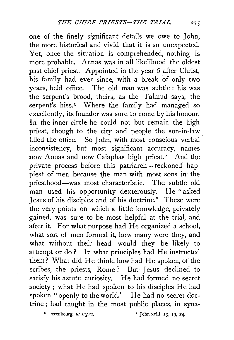one of the finely significant details we owe to John, the more historical and vivid that it is so unexpected. Yet, once the situation is comprehended, nothing is more probable. Annas was in all likelihood the oldest past chief priest. Appointed in the year 6 after Christ, his family had ever since, with a break of only two years, held office. The old man was subtle ; his was the serpent's brood, theirs, as the Talmud says, the serpent's hiss.<sup>1</sup> Where the family had managed so excellently, its founder was sure to come by his honour. In the inner circle he could not but remain the high priest, though to the city and people the son-in-law filled the office. So John, with most conscious verbal inconsistency, but most significant accuracy, names now Annas and now Caiaphas high priest.2 And the private process before this patriarch-reckoned happiest of men because the man with most sons in the priesthood-was most characteristic. The subtle old man used his opportunity dexterously. He "asked Jesus of his disciples and of his doctrine." These were the very points on which a little knowledge, privately gained, was sure to be most helpful at the trial, and after it. For what purpose had He organized a school, what sort of men formed it, how many were they, and what without their head would they be likely to attempt or do? In what principles had He instructed them? What did He think, how had He spoken, of the scribes, the priests, Rome ? But Jesus declined to satisfy his astute curiosity. He had formed no secret society; what He had spoken to his disciples He had spoken "openly to the world." He had no secret doctrine; had taught in the most public places, in syna-

<sup> $\bullet$ </sup> Derenbourg, *ut supra*.  $\bullet$   $\bullet$  John xviii. 13, 19, 24.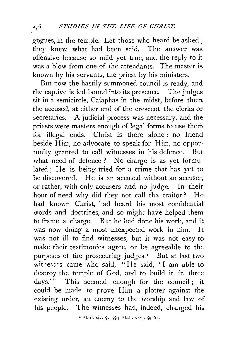gogues, in the temple. Let those who heard be asked ; they knew what had been said. The answer was offensive because so mild yet true, and the reply to it was a blow from one of the attendants. The master is known by his servants, the priest by his ministers.

But now the hastily summoned council is ready, and the captive is led bound into its presence. The judges sit in a semicircle, Caiaphas in the midst, before them the accused, at either end of the crescent the clerks or secretaries. A judicial process was necessary, and the priests were masters enough of legal forms to use them for illegal ends. Christ is there alone ; no friend beside Him, no advocate to speak for Him, no opportunity granted to call witnesses in his defence. But what need of defence ? No charge is as yet formulated; He 'is being tried for a crime that has yet to be discovered. He is an accused without an accuser, or rather, with only accusers and no judge. In their hour of need why did they not call the traitor? He had known Christ, had heard his most confidential words and doctrines, and so might have helped them to frame a charge. But he had done his work, and it was now doing a most unexpected work in him. It was not ill to find witnesses, but it was not easy to make their testimonies agree, or be agreeable to the purposes of the prosecuting judges.<sup>1</sup> But at last two witness~s came who said, "He said, 'I am able to destroy the temple of God, and to build it in three days.'" This seemed enough for the council; it could be made to prove Him a plotter against the existing order, an enemy to the worship and law of his people. The witnesses had, indeed, changed his

 $'$  Mark xiv. 55-59; Matt. xxvi. 59-61.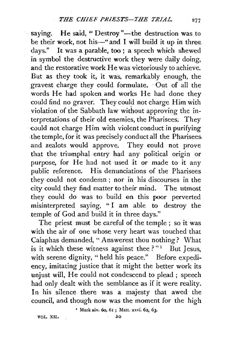saying. He said, " Destroy "-- the destruction was to be their work, not his-" and I will build it up in three days." It was a parable, too ; a speech which shewed in symbol the destructive work they were daily doing, and the restorative work He was victoriously to achieve. But as they took it, it was, remarkably enough, the gravest charge they could formulate. Out of all the words He had spoken and works He had done they could find no graver. They could not charge Him with violation of the Sabbath law without approving the interpretations of their old enemies, the Pharisees; They could not charge Him with violent conduct in purifying . the temple, for it was precisely conduct all the Pharisees, and zealots would approve. They could not prove that the triumphal entry had any political origin or purpose, for He had not used it or made to it any public reference. His denunciations of the Pharisees they could not condemn ; nor in his discourses in the city could they find matter to their mind. The utmost they could do was to build on this poor perverted misinterpreted saying, " I am able to destroy the temple of God and build it in three days."

The priest must be careful of the temple ; so it was with the air of one whose very heart was touched that Caiaphas demanded, "Answerest thou nothing? What is it which these witness against thee ?" $1$  But Jesus, with serene dignity, " held his peace." Before expediency, imitating justice that it might the better work its unjust will, He could not condescend to plead ; speech had only dealt with the semblance as if it were reality. In his silence there was a majesty that awed the council, and though now was the moment for the high

' Mark xiv. 6o, 61 ; Matt. xxvi. 62, 63.

VOL. XII. izo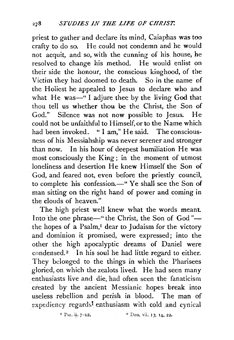priest to gather·and declare its mind, Caiaphas was too crafty to do so. He could not condemn and he would not acquit, and so, with the cunning of his. house, he resolved to change his method. He would enlist on their side the honour, the conscious kinghood, of the Victim they had doomed to death. So in the name of the Holiest he appealed to Jesus to declare who and what He was-"I adjure thee by the living God that thou tell us whether thou be the Christ, the Son of God." Silence was not now possible to Jesus. He could not be unfaithful to Himself, or to the Name which had been invoked. "I am," He said. The consciousness of his Messiahship was never serener and stronger than now. In his hour of deepest humiliation He was most consciously the King ; in the moment of utmost loneliness and desertion He knew Himself the Son of God, and feared not, even before the priestly council, to complete his confession.-" Ye shall see the Son of man sitting on the right hand of power and coming in the clouds of heaven."

The high priest well knew what the words meant. Into the one phrase-" the Christ, the Son of God"-the hopes of a Psalm,<sup>1</sup> dear to Judaism for the victory and dominion it promised, were expressed; into the other the high apocalyptic dreams of Daniel were condensed.<sup>2</sup> In his soul he had little regard to either. They belonged to the things in which the Pharisees gloried, on which the zealots lived. He had seen many enthusiasts live and die, had often seen the fanaticism created by the ancient Messianic hopes break into useless rebellion and perish in blood. The man of expediency regards<sup>1</sup> enthusiasm with cold and cynical

**<sup>1</sup>** Psa. ii. 7-12. **2** Dan. vii. 13, 14, 22.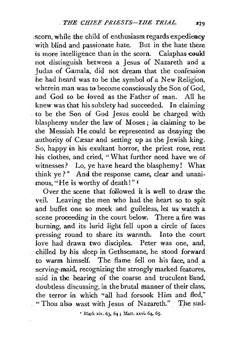.scorn, while the child of enthusiasm regards expediency with blind and passionate hate. But in the hate there is more intelligence than in the scorn. Caiaphas could not distinguish between a Jesus of Nazareth and a Judas of Gamala, did not dream that the confession he had heard was to be the symbol of a New Religion, wherein man was to become consciously the Son of God, and God to be ioved as the Father of man. All he knew was that his subtlety had succeeded. In claiming . to be the Son of God Jesus could be charged. with blasphemy under the law of Moses; in claiming to be the Messiah He could be represented as denying the authority of Cæsar and setting up as the Jewish king. So, happy in his exultant horror, the priest rose, rent his clothes, and cried, "What further need have we of witnesses? Lo, ye have heard the blasphemy! What think ye?" And the response came, clear and unanimous, "He is worthy of death!"<sup>1</sup>

Over the scene that followed it is well to draw the veil. Leaving the men who had the heart so to spit and buffet one so meek and guileless, let us watch a . scene proceeding in the court below. There a fire was burning, and its lurid light fell upon a circle of faces pressing round to share its warmth. Into the court love had drawn two disciples. Peter was one, and, · chilled by his sleep in Gethsemane, he stood forward to warm himself. The flame fell on his face, and a serving-maid, recognizing the strongly marked features, said in the hearing of the coarse and truculent band, doubtless discussing, in the brutal manner of their class, the terror in which "all had forsook Him and fled," ... "Thou also wast with Jesus of Nazareth." The sud-

 $'$  Mark xiv. 63, 64; Matt. xxvi, 64, 65.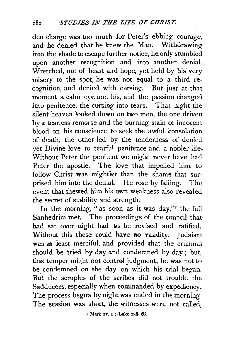den charge was too much for Peter's ebbing courage, and he denied that he knew the Man. Withdrawing into the shade to escape further notice, he only stumbled upon another recognition and into another denial. Wretched, out of heart and hope, yet held by his' very misery to the spot, he was not equal to a third recognition, and denied with cursing. But just at that moment a calm eye met his, and the passion changed into penitence, the cursing into tears. That night the silent heaven looked down on two men, the one driven by a tearless remorse and the burning stain of innocent blood on his conscience to seek the awful consolation of death, the other led by the tenderness of denied yet Divine love to tearful penitence and a nobler life, Without Peter the penitent we might never have had Peter the apostle. The love that impelled him to follow Christ was mightier than the shame that surprised him into the denial He rose by falling. The event that shewed him his own weakness also revealed the secret of stability and strength.

In the morning, " as soon as it was day,"<sup> $I$ </sup> the full Sanhedrim met. The proceedings of the council that bad sat over night had to be revised and ratified. Without this these could have no validity. Judaism was at least merciful, and provided that the criminal should be tried by day and condemned by day ; but, that temper might not control judgment, he was not to be condemned on the day on which his trial began. But the scruples of the scribes did not trouble the Sadducees, especially when commanded by expediency. The process begun by night was ended in the morning. The session was short, the witnesses were not called,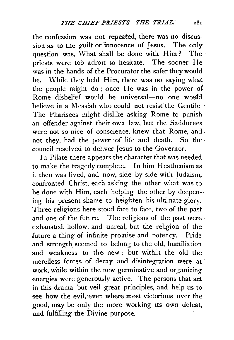the confession was not repeated, there was no discussion as to the guilt or innocence of Jesus. The only question was, What shall be done with Him? The priests were too adroit to hesitate. The sooner He was in the hands of the Procurator the safer they would be. While they held Him, there was no saying what the people might do; once He was in the power of Rome disbelief would be universal-no one would believe in a Messiah who could not resist the Gentile The Pharisees might dislike asking Rome to punish an offender against their own law, but the Sadducees were not so nice of conscience, knew that Rome, and not they, had the power of life and death. So the council resolved *to* deliver Jesus to the Governor.

In Pilate there appears the character that was needed to make the tragedy complete. In him Heathenism as it then was lived, and now, side by side with Judaism, confronted Christ, each asking the other what was to be done with Him, each helping the other by deepening his present shame to heighten his ultimate glory. Three religions here stood face to face, two of the past and one of the future. The religions of the past were exhausted, hollow, and unreal, but the religion of the future a thing of infinite promise and potency. Pride and strength seemed to belong to the old, humiliation and weakness to the new; but within the old the merciless forces of decay and disintegration were at work, while within the new germinative and organizing energies were generously active. The persons that act in this drama but veil great principles, and help us to see how the evil, even where most victorious over the good, may be only the more working its own defeat, and fulfilling the Divine purpose.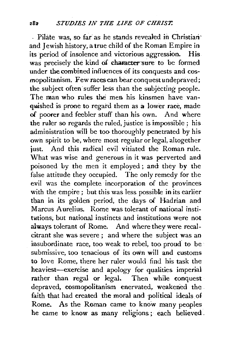- Pilate was, so far as he stands revealed in Christian<sup>.</sup> and Jewish history, a true child of the Roman Empire in<br>its period of insolence and victorious aggression. His its period of insolence and victorious aggression. was precisely the kind of character sure to be formed under the combined influences of its conquests and cosmopolitanism. Few races can bear conquestundepraved; the subject often suffer less than the subjecting people. The man who rules the men his kinsmen have vanquished is prone to regard them as a lower race, made of poorer and feebler stuff than his own. And where the ruler so regards the ruled, justice is impossible ; his administration will be too thoroughly penetrated by his own spirit to be, where most regular or legal, altogether just. And this radical evil vitiated the Roman rule. What was wise and generous in it was perverted and poisoned Ly the men it employed; and they by the false attitude they occupied. The only remedy for the evil was the complete ·incorporation of the provinces with the empire; but this was less possible in its earlier than in its golden period, the days of Hadrian and Marcus Aurelius. Rome was tolerant of national institutions; but national instincts and institutions were not always tolerant of Rome. And where they were recalcitrant she was severe; and where the subject was an insubordinate race, too weak to rebel, too proud to be submissive, too tenacious of its own will and customs to love Rome, there her ruler would find his task the heaviest-exercise and apology for qualities imperial rather than regal or legal. Then while conquest depraved, cosmopolitanism enervated, weakened the. faith that had created the moral and political ideals of Rome. As the Roman came to know many peoples he came to know as many religions; each believed.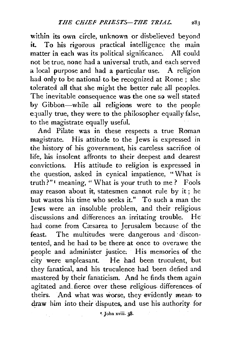within its own circle, unknown or disbelieved beyond it. To his rigorous practical intelligence the main matter in each was its political significance. All could not be true, none had a universal truth, and each served a local purpose and had a particular use. A religion had only to be national to be recognized at Rome ; she tolerated all that she might the better rule all peoples. The inevitable consequence was the one so well stated by Gibbon-while all religions were to the people equally true, they were to the philosopher equally false, to the magistrate equally useful.

And Pilate was in these respects a true Roman magistrate. His attitude to the Jews is expressed in the history of his government, his careless sacrifice ot life, his insolent affronts to their deepest and dearest convictions. His attitude to religion is expressed in the question, asked in cynical impatience, "·What is truth?" 1 meaning, " What is your truth to me ? Fools may reason about it, statesmen cannot rule by it ; he but wastes his time who seeks it." To such a man the Jews were an insoluble problem, and their religious discussions and differences an. irritating trouble. He had come from Cæsarea to Jerusalem because of the feast. The multitudes were dangerous and discontented, and he had to be there· at once to overawe the people and administer justice; His memories of the city were unpleasant. He had been truculent, but they fanatical, and his truculence had been defied and mastered by their fanaticism. And he finds them again agitated and fierce over these religious differences of theirs. And what was worse, they evidently mean· to draw him into their disputes, and use his authority for

*•.* John xviii. 38·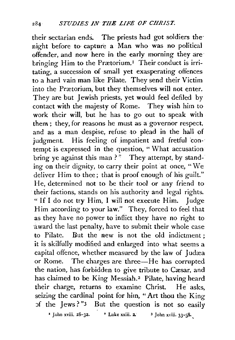their sectarian ends. The priests had got soldiers the· night before to· capture a Man who was no political offender, and now here in the early morning they are· bringing Him to the Prætorium.<sup>1</sup> Their conduct is irritating, a succession of· small yet exasperating offences to a hard vain man like Pilate. They send their Victim into the Prætorium, but they themselves will not enter. They are but Jewish priests, yet would feel defiled by contact with the majesty of Rome. They wish him to work their will, but he has to go out to speak with them; they, for reasons he must as a governor respect, and as a man despise, refuse to plead in the hall of judgment. His feeling of impatient and fretful contempt is expressed in the question, " What accusation bring ye against this man ?" They attempt, by standing on their dignity, to carry their point at once, "We deliver Him to thee; that is proof enough of his guilt." He, determined not to be their tool or any friend to their factions, stands on his authority and legal rights. "If I do not try Him, I will not execute Him. Judge Him according to your law." They, forced to feel that as they have no power to inflict they have no right to ·award the last penalty, have to submit their whole case to Pilate. But the new is not the old indictment ; it is skilfully modified and enlarged into what seems a capital offence, whether measured by the law of Judæa or Rome. The charges are three—He has corrupted the nation, has forbidden to give tribute to Cæsar, and has claimed to be King Messiah.<sup>2</sup> Pilate, having heard their charge, returns to examine Christ. He asks, seizing the cardinal point for him, "Art thou the King  $5f$  the Jews?" $3$  But the question is not so easily

<sup>2</sup> John xviii.  $2\delta - 32$ . <sup>2</sup> Luke xxiii. 2. <sup>3</sup> John xviii.  $33-3\delta$ .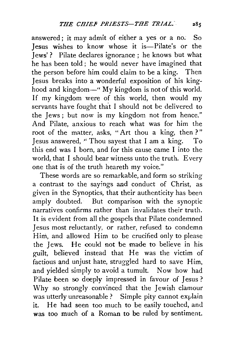answered; it may admit of either a yes or a no. So Jesus wishes to know whose it is-Pilate's or the Jews' ? Pilate declares ignorance ; he knows but what he has been told ; he would never have imagined that the person before him could claim to be a king. Then Jesus breaks into a wonderful exposition of his kinghood and kingdom—" My kingdom is not of this world. If my kingdom were of this world, then would my servants have fought that I should not be delivered to the Jews ; but now is my kingdom not from hence." And Pilate, anxious to reach what was for him the root of the matter, asks, "Art thou a king, then ? " Jesus answered, "Thou sayest that I am a king. To this end was I born, and for this cause came I into the world, that I should bear witness unto the truth. Every one that is of the truth heareth my voice."

These words are so remarkable, and form so striking a contrast to the sayings and conduct of Christ, as given in the Synoptics, that their authenticity has been amply doubted. But comparison with the synoptic narratives confirms rather than invalidates their truth. It is evident from all the gospels that Pilate condemned Jesus most reluctantly, or rather, refused to condemn Him, and allowed Him to be crucified only to please the Jews. He could not be made to believe in his guilt, believed instead that He was the victim of factious and unjust hate, struggled hard to save Him, and yielded simply to avoid a tumult. Now how had Pilate been so deeply impressed in favour of Jesus ? Why so strongly. convinced that the Jewish clamour was utterly unreasonable ? Simple pity cannot explain it. He had seen too much to be easily touched, and was too much of a Roman to be ruled by sentiment.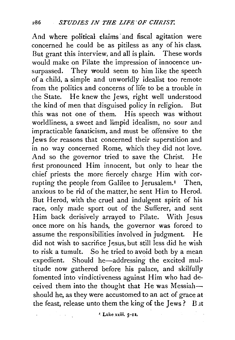And where political claims· and fiscal agitation were concerned he could be as pitiless as any of his class. But grant this interview, and all is plain. These words would make on Pilate the impression of innocence unsurpassed. They would seem to him like the speech of a child, a simple and unworldly idealist too remote from the politics and concerns of life to be a trouble in the State. He knew the Jews, right well understood the kind of men that disguised policy in religion. But this was not one of them. His speech was without worldliness, a sweet and limpid idealism, no sour and impracticable fanaticism, and must be offensive to the Jews for reasons that concerned their superstition and in no way concerned Rome, which they did not love. And so the governor tried to save the Christ. He first pronounced Him innocent, but only to hear the chief priests the more fiercely charge Him with corrupting the people from Galilee to Jerusalem.<sup>1</sup> Then, anxious to be rid of the matter, he sent Him to Herod. But Herod, with the cruel and indulgent spirit of his race, only made sport out of the Sufferer, and sent Him back derisively arrayed to Pilate. With Jesus once more on his hands, the governor was forced to assume the responsibilities involved in judgment. He did not wish to sacrifice Jesus, but still less did he wish to risk a tumult. So he tried to avoid both by a mean expedient. Should he-addressing the excited multitude now gathered before his palace, and skilfully fomented into vindictiveness against Him who had deceived them into the thought that He was Messiahshould he, as they were accustomed to an act of grace at the feast, release unto them the king of the Jews? But

*'* Luke-xxiii. *5-u.*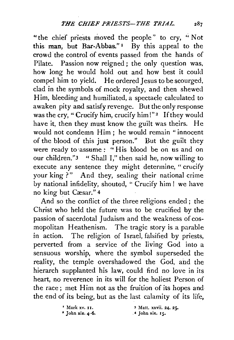"the chief priests moved the people" to cry, "Not this man, but Bar-Abbas."<sup>1</sup> By this appeal to the crowd the control of events passed from the hands of Pilate. Passion now reigned; the only question was, how long he would hold out and how best it could compel him to yield. He ordered Jesus to be scourged, clad in the symbols of mock royalty, and then shewecl Him, bleeding and humiliated, a spectacle calculated to awaken pity and satisfy revenge. But the only response was the cry, "Crucify him, crucify him!"<sup>2</sup> If they would have it, then they must know the guilt was theirs. He would not condemn Him ; he would remain "innocent of the blood of this just person." But the guilt they were ready to assume: "His blood be on us and on our children."3 "Shall I," then said he, now willing to execute any sentence they might determine, "crucify your king ?" And they, sealing their national crime by national infidelity, shouted, " Crucify him! we have no king but Cæsar." 4

And so the conflict of the three religions ended ; the Christ who held the future was to be crucified by the passion of sacerdotal Judaism and the weakness of cosmopolitan Heathenism. The tragic story is a parable in action. The religion of Israel, falsified by priests, perverted from a service of the living God into a sensuous worship, where the symbol superseded the reality, the temple overshadowed the God, and the hierarch supplanted his law, could find no love in its heart, no reverence in its will for the holiest Person of the race; met Him not as the fruition of its hopes and the end of its being, but as the last calamity of its life,

> • Mark xv. 11. • John xix. 4-6. <sup>3</sup> Matt. xxvii. 24, 25. . 4 John xix. *rs.*